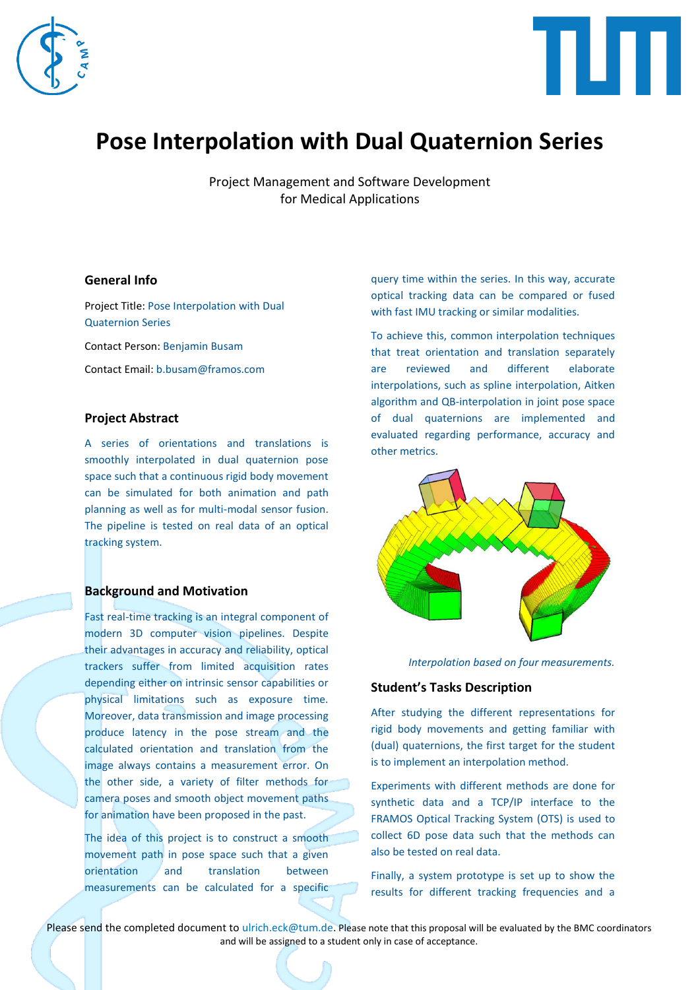



# **Pose Interpolation with Dual Quaternion Series**

Project Management and Software Development for Medical Applications

## **General Info**

Project Title: Pose Interpolation with Dual Quaternion Series Contact Person: Benjamin Busam

Contact Email: b.busam@framos.com

# **Project Abstract**

A series of orientations and translations is smoothly interpolated in dual quaternion pose space such that a continuous rigid body movement can be simulated for both animation and path planning as well as for multi-modal sensor fusion. The pipeline is tested on real data of an optical tracking system.

#### **Background and Motivation**

Fast real-time tracking is an integral component of modern 3D computer vision pipelines. Despite their advantages in accuracy and reliability, optical trackers suffer from limited acquisition rates depending either on intrinsic sensor capabilities or physical limitations such as exposure time. Moreover, data transmission and image processing produce latency in the pose stream and the calculated orientation and translation from the image always contains a measurement error. On the other side, a variety of filter methods for camera poses and smooth object movement paths for animation have been proposed in the past.

The idea of this project is to construct a smooth movement path in pose space such that a given orientation and translation between measurements can be calculated for a specific query time within the series. In this way, accurate optical tracking data can be compared or fused with fast IMU tracking or similar modalities.

To achieve this, common interpolation techniques that treat orientation and translation separately are reviewed and different elaborate interpolations, such as spline interpolation, Aitken algorithm and QB-interpolation in joint pose space of dual quaternions are implemented and evaluated regarding performance, accuracy and other metrics.



*Interpolation based on four measurements.*

# **Student's Tasks Description**

After studying the different representations for rigid body movements and getting familiar with (dual) quaternions, the first target for the student is to implement an interpolation method.

Experiments with different methods are done for synthetic data and a TCP/IP interface to the FRAMOS Optical Tracking System (OTS) is used to collect 6D pose data such that the methods can also be tested on real data.

Finally, a system prototype is set up to show the results for different tracking frequencies and a

Please send the completed document to ulrich.eck@tum.de. Please note that this proposal will be evaluated by the BMC coordinators and will be assigned to a student only in case of acceptance.